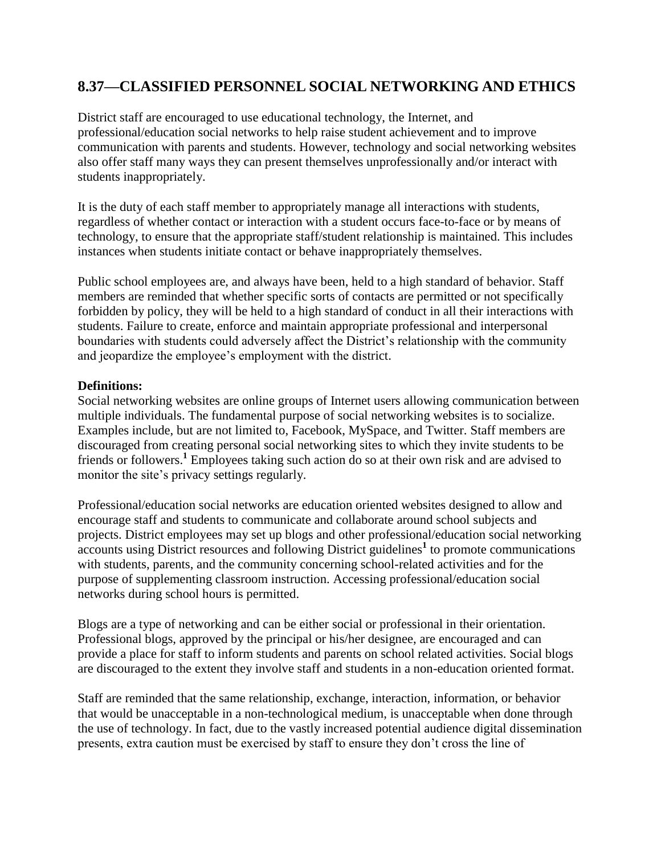## **8.37—CLASSIFIED PERSONNEL SOCIAL NETWORKING AND ETHICS**

District staff are encouraged to use educational technology, the Internet, and professional/education social networks to help raise student achievement and to improve communication with parents and students. However, technology and social networking websites also offer staff many ways they can present themselves unprofessionally and/or interact with students inappropriately.

It is the duty of each staff member to appropriately manage all interactions with students, regardless of whether contact or interaction with a student occurs face-to-face or by means of technology, to ensure that the appropriate staff/student relationship is maintained. This includes instances when students initiate contact or behave inappropriately themselves.

Public school employees are, and always have been, held to a high standard of behavior. Staff members are reminded that whether specific sorts of contacts are permitted or not specifically forbidden by policy, they will be held to a high standard of conduct in all their interactions with students. Failure to create, enforce and maintain appropriate professional and interpersonal boundaries with students could adversely affect the District's relationship with the community and jeopardize the employee's employment with the district.

## **Definitions:**

Social networking websites are online groups of Internet users allowing communication between multiple individuals. The fundamental purpose of social networking websites is to socialize. Examples include, but are not limited to, Facebook, MySpace, and Twitter. Staff members are discouraged from creating personal social networking sites to which they invite students to be friends or followers.**<sup>1</sup>** Employees taking such action do so at their own risk and are advised to monitor the site's privacy settings regularly.

Professional/education social networks are education oriented websites designed to allow and encourage staff and students to communicate and collaborate around school subjects and projects. District employees may set up blogs and other professional/education social networking accounts using District resources and following District guidelines**<sup>1</sup>** to promote communications with students, parents, and the community concerning school-related activities and for the purpose of supplementing classroom instruction. Accessing professional/education social networks during school hours is permitted.

Blogs are a type of networking and can be either social or professional in their orientation. Professional blogs, approved by the principal or his/her designee, are encouraged and can provide a place for staff to inform students and parents on school related activities. Social blogs are discouraged to the extent they involve staff and students in a non-education oriented format.

Staff are reminded that the same relationship, exchange, interaction, information, or behavior that would be unacceptable in a non-technological medium, is unacceptable when done through the use of technology. In fact, due to the vastly increased potential audience digital dissemination presents, extra caution must be exercised by staff to ensure they don't cross the line of